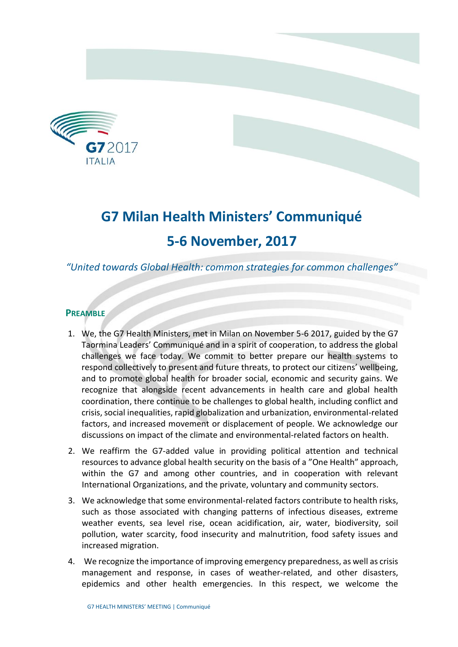

# **G7 Milan Health Ministers' Communiqué 5-6 November, 2017**

# *"United towards Global Health: common strategies for common challenges"*

# **PREAMBLE**

- 1. We, the G7 Health Ministers, met in Milan on November 5-6 2017, guided by the G7 Taormina Leaders' Communiqué and in a spirit of cooperation, to address the global challenges we face today. We commit to better prepare our health systems to respond collectively to present and future threats, to protect our citizens' wellbeing, and to promote global health for broader social, economic and security gains. We recognize that alongside recent advancements in health care and global health coordination, there continue to be challenges to global health, including conflict and crisis, social inequalities, rapid globalization and urbanization, environmental-related factors, and increased movement or displacement of people. We acknowledge our discussions on impact of the climate and environmental-related factors on health.
- 2. We reaffirm the G7-added value in providing political attention and technical resources to advance global health security on the basis of a "One Health" approach, within the G7 and among other countries, and in cooperation with relevant International Organizations, and the private, voluntary and community sectors.
- 3. We acknowledge that some environmental-related factors contribute to health risks, such as those associated with changing patterns of infectious diseases, extreme weather events, sea level rise, ocean acidification, air, water, biodiversity, soil pollution, water scarcity, food insecurity and malnutrition, food safety issues and increased migration.
- 4. We recognize the importance of improving emergency preparedness, as well as crisis management and response, in cases of weather-related, and other disasters, epidemics and other health emergencies. In this respect, we welcome the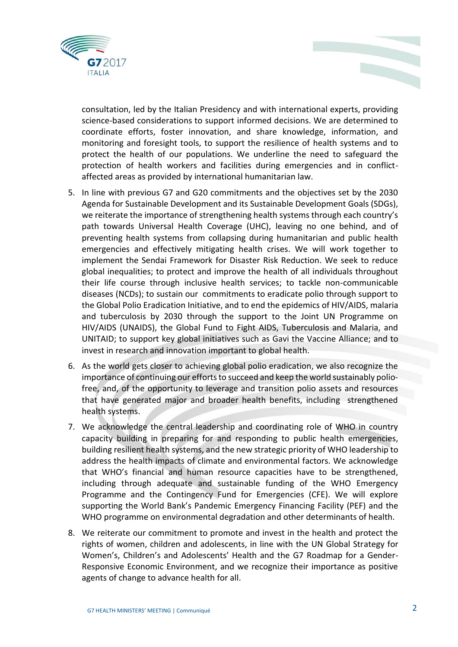

consultation, led by the Italian Presidency and with international experts, providing science-based considerations to support informed decisions. We are determined to coordinate efforts, foster innovation, and share knowledge, information, and monitoring and foresight tools, to support the resilience of health systems and to protect the health of our populations. We underline the need to safeguard the protection of health workers and facilities during emergencies and in conflictaffected areas as provided by international humanitarian law.

- 5. In line with previous G7 and G20 commitments and the objectives set by the 2030 Agenda for Sustainable Development and its Sustainable Development Goals (SDGs), we reiterate the importance of strengthening health systems through each country's path towards Universal Health Coverage (UHC), leaving no one behind, and of preventing health systems from collapsing during humanitarian and public health emergencies and effectively mitigating health crises. We will work together to implement the Sendai Framework for Disaster Risk Reduction. We seek to reduce global inequalities; to protect and improve the health of all individuals throughout their life course through inclusive health services; to tackle non-communicable diseases (NCDs); to sustain our commitments to eradicate polio through support to the Global Polio Eradication Initiative, and to end the epidemics of HIV/AIDS, malaria and tuberculosis by 2030 through the support to the Joint UN Programme on HIV/AIDS (UNAIDS), the Global Fund to Fight AIDS, Tuberculosis and Malaria, and UNITAID; to support key global initiatives such as Gavi the Vaccine Alliance; and to invest in research and innovation important to global health.
- 6. As the world gets closer to achieving global polio eradication, we also recognize the importance of continuing our efforts to succeed and keep the world sustainably polio‐ free, and, of the opportunity to leverage and transition polio assets and resources that have generated major and broader health benefits, including strengthened health systems.
- 7. We acknowledge the central leadership and coordinating role of WHO in country capacity building in preparing for and responding to public health emergencies, building resilient health systems, and the new strategic priority of WHO leadership to address the health impacts of climate and environmental factors. We acknowledge that WHO's financial and human resource capacities have to be strengthened, including through adequate and sustainable funding of the WHO Emergency Programme and the Contingency Fund for Emergencies (CFE). We will explore supporting the World Bank's Pandemic Emergency Financing Facility (PEF) and the WHO programme on environmental degradation and other determinants of health.
- 8. We reiterate our commitment to promote and invest in the health and protect the rights of women, children and adolescents, in line with the UN Global Strategy for Women's, Children's and Adolescents' Health and the G7 Roadmap for a Gender-Responsive Economic Environment, and we recognize their importance as positive agents of change to advance health for all.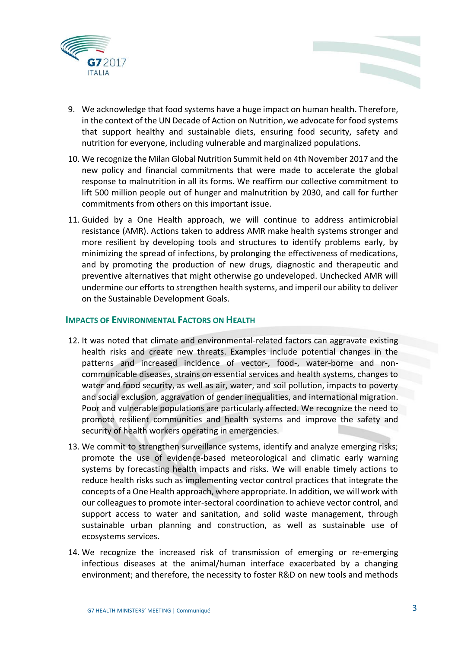

- 9. We acknowledge that food systems have a huge impact on human health. Therefore, in the context of the UN Decade of Action on Nutrition, we advocate for food systems that support healthy and sustainable diets, ensuring food security, safety and nutrition for everyone, including vulnerable and marginalized populations.
- 10. We recognize the Milan Global Nutrition Summit held on 4th November 2017 and the new policy and financial commitments that were made to accelerate the global response to malnutrition in all its forms. We reaffirm our collective commitment to lift 500 million people out of hunger and malnutrition by 2030, and call for further commitments from others on this important issue.
- 11. Guided by a One Health approach, we will continue to address antimicrobial resistance (AMR). Actions taken to address AMR make health systems stronger and more resilient by developing tools and structures to identify problems early, by minimizing the spread of infections, by prolonging the effectiveness of medications, and by promoting the production of new drugs, diagnostic and therapeutic and preventive alternatives that might otherwise go undeveloped. Unchecked AMR will undermine our efforts to strengthen health systems, and imperil our ability to deliver on the Sustainable Development Goals.

## **IMPACTS OF ENVIRONMENTAL FACTORS ON HEALTH**

- 12. It was noted that climate and environmental-related factors can aggravate existing health risks and create new threats. Examples include potential changes in the patterns and increased incidence of vector-, food-, water-borne and noncommunicable diseases, strains on essential services and health systems, changes to water and food security, as well as air, water, and soil pollution, impacts to poverty and social exclusion, aggravation of gender inequalities, and international migration. Poor and vulnerable populations are particularly affected. We recognize the need to promote resilient communities and health systems and improve the safety and security of health workers operating in emergencies.
- 13. We commit to strengthen surveillance systems, identify and analyze emerging risks; promote the use of evidence-based meteorological and climatic early warning systems by forecasting health impacts and risks. We will enable timely actions to reduce health risks such as implementing vector control practices that integrate the concepts of a One Health approach, where appropriate. In addition, we will work with our colleagues to promote inter-sectoral coordination to achieve vector control, and support access to water and sanitation, and solid waste management, through sustainable urban planning and construction, as well as sustainable use of ecosystems services.
- 14. We recognize the increased risk of transmission of emerging or re-emerging infectious diseases at the animal/human interface exacerbated by a changing environment; and therefore, the necessity to foster R&D on new tools and methods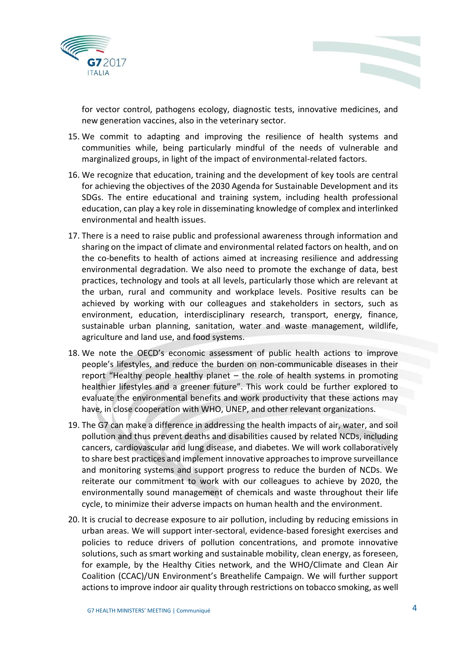



for vector control, pathogens ecology, diagnostic tests, innovative medicines, and new generation vaccines, also in the veterinary sector.

- 15. We commit to adapting and improving the resilience of health systems and communities while, being particularly mindful of the needs of vulnerable and marginalized groups, in light of the impact of environmental-related factors.
- 16. We recognize that education, training and the development of key tools are central for achieving the objectives of the 2030 Agenda for Sustainable Development and its SDGs. The entire educational and training system, including health professional education, can play a key role in disseminating knowledge of complex and interlinked environmental and health issues.
- 17. There is a need to raise public and professional awareness through information and sharing on the impact of climate and environmental related factors on health, and on the co-benefits to health of actions aimed at increasing resilience and addressing environmental degradation. We also need to promote the exchange of data, best practices, technology and tools at all levels, particularly those which are relevant at the urban, rural and community and workplace levels. Positive results can be achieved by working with our colleagues and stakeholders in sectors, such as environment, education, interdisciplinary research, transport, energy, finance, sustainable urban planning, sanitation, water and waste management, wildlife, agriculture and land use, and food systems.
- 18. We note the OECD's economic assessment of public health actions to improve people's lifestyles, and reduce the burden on non-communicable diseases in their report "Healthy people healthy planet – the role of health systems in promoting healthier lifestyles and a greener future". This work could be further explored to evaluate the environmental benefits and work productivity that these actions may have, in close cooperation with WHO, UNEP, and other relevant organizations.
- 19. The G7 can make a difference in addressing the health impacts of air, water, and soil pollution and thus prevent deaths and disabilities caused by related NCDs, including cancers, cardiovascular and lung disease, and diabetes. We will work collaboratively to share best practices and implement innovative approaches to improve surveillance and monitoring systems and support progress to reduce the burden of NCDs. We reiterate our commitment to work with our colleagues to achieve by 2020, the environmentally sound management of chemicals and waste throughout their life cycle, to minimize their adverse impacts on human health and the environment.
- 20. It is crucial to decrease exposure to air pollution, including by reducing emissions in urban areas. We will support inter-sectoral, evidence-based foresight exercises and policies to reduce drivers of pollution concentrations, and promote innovative solutions, such as smart working and sustainable mobility, clean energy, as foreseen, for example, by the Healthy Cities network, and the WHO/Climate and Clean Air Coalition (CCAC)/UN Environment's Breathelife Campaign. We will further support actions to improve indoor air quality through restrictions on tobacco smoking, as well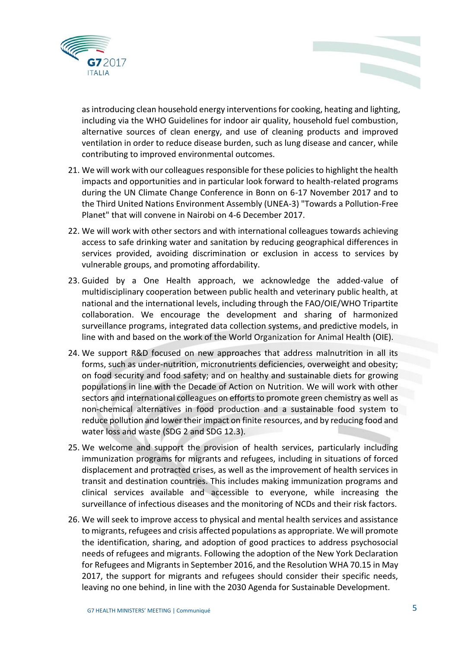

as introducing clean household energy interventions for cooking, heating and lighting, including via the WHO Guidelines for indoor air quality, household fuel combustion, alternative sources of clean energy, and use of cleaning products and improved ventilation in order to reduce disease burden, such as lung disease and cancer, while contributing to improved environmental outcomes.

- 21. We will work with our colleagues responsible for these policies to highlight the health impacts and opportunities and in particular look forward to health-related programs during the UN Climate Change Conference in Bonn on 6-17 November 2017 and to the Third United Nations Environment Assembly (UNEA-3) "Towards a Pollution-Free Planet" that will convene in Nairobi on 4-6 December 2017.
- 22. We will work with other sectors and with international colleagues towards achieving access to safe drinking water and sanitation by reducing geographical differences in services provided, avoiding discrimination or exclusion in access to services by vulnerable groups, and promoting affordability.
- 23. Guided by a One Health approach, we acknowledge the added-value of multidisciplinary cooperation between public health and veterinary public health, at national and the international levels, including through the FAO/OIE/WHO Tripartite collaboration. We encourage the development and sharing of harmonized surveillance programs, integrated data collection systems, and predictive models, in line with and based on the work of the World Organization for Animal Health (OIE).
- 24. We support R&D focused on new approaches that address malnutrition in all its forms, such as under-nutrition, micronutrients deficiencies, overweight and obesity; on food security and food safety; and on healthy and sustainable diets for growing populations in line with the Decade of Action on Nutrition. We will work with other sectors and international colleagues on efforts to promote green chemistry as well as non-chemical alternatives in food production and a sustainable food system to reduce pollution and lower their impact on finite resources, and by reducing food and water loss and waste (SDG 2 and SDG 12.3).
- 25. We welcome and support the provision of health services, particularly including immunization programs for migrants and refugees, including in situations of forced displacement and protracted crises, as well as the improvement of health services in transit and destination countries. This includes making immunization programs and clinical services available and accessible to everyone, while increasing the surveillance of infectious diseases and the monitoring of NCDs and their risk factors.
- 26. We will seek to improve access to physical and mental health services and assistance to migrants, refugees and crisis affected populations as appropriate. We will promote the identification, sharing, and adoption of good practices to address psychosocial needs of refugees and migrants. Following the adoption of the New York Declaration for Refugees and Migrants in September 2016, and the Resolution WHA 70.15 in May 2017, the support for migrants and refugees should consider their specific needs, leaving no one behind, in line with the 2030 Agenda for Sustainable Development.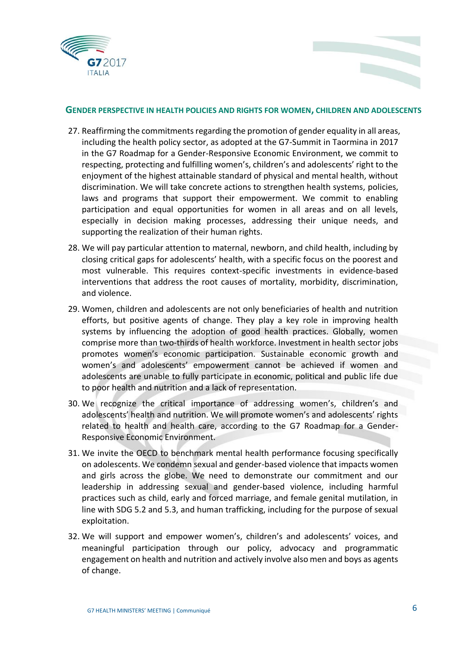



### **GENDER PERSPECTIVE IN HEALTH POLICIES AND RIGHTS FOR WOMEN, CHILDREN AND ADOLESCENTS**

- 27. Reaffirming the commitments regarding the promotion of gender equality in all areas, including the health policy sector, as adopted at the G7-Summit in Taormina in 2017 in the G7 Roadmap for a Gender-Responsive Economic Environment, we commit to respecting, protecting and fulfilling women's, children's and adolescents' right to the enjoyment of the highest attainable standard of physical and mental health, without discrimination. We will take concrete actions to strengthen health systems, policies, laws and programs that support their empowerment. We commit to enabling participation and equal opportunities for women in all areas and on all levels, especially in decision making processes, addressing their unique needs, and supporting the realization of their human rights.
- 28. We will pay particular attention to maternal, newborn, and child health, including by closing critical gaps for adolescents' health, with a specific focus on the poorest and most vulnerable. This requires context-specific investments in evidence‐based interventions that address the root causes of mortality, morbidity, discrimination, and violence.
- 29. Women, children and adolescents are not only beneficiaries of health and nutrition efforts, but positive agents of change. They play a key role in improving health systems by influencing the adoption of good health practices. Globally, women comprise more than two-thirds of health workforce. Investment in health sector jobs promotes women's economic participation. Sustainable economic growth and women's and adolescents' empowerment cannot be achieved if women and adolescents are unable to fully participate in economic, political and public life due to poor health and nutrition and a lack of representation.
- 30. We recognize the critical importance of addressing women's, children's and adolescents' health and nutrition. We will promote women's and adolescents' rights related to health and health care, according to the G7 Roadmap for a Gender-Responsive Economic Environment.
- 31. We invite the OECD to benchmark mental health performance focusing specifically on adolescents. We condemn sexual and gender-based violence that impacts women and girls across the globe. We need to demonstrate our commitment and our leadership in addressing sexual and gender‐based violence, including harmful practices such as child, early and forced marriage, and female genital mutilation, in line with SDG 5.2 and 5.3, and human trafficking, including for the purpose of sexual exploitation.
- 32. We will support and empower women's, children's and adolescents' voices, and meaningful participation through our policy, advocacy and programmatic engagement on health and nutrition and actively involve also men and boys as agents of change.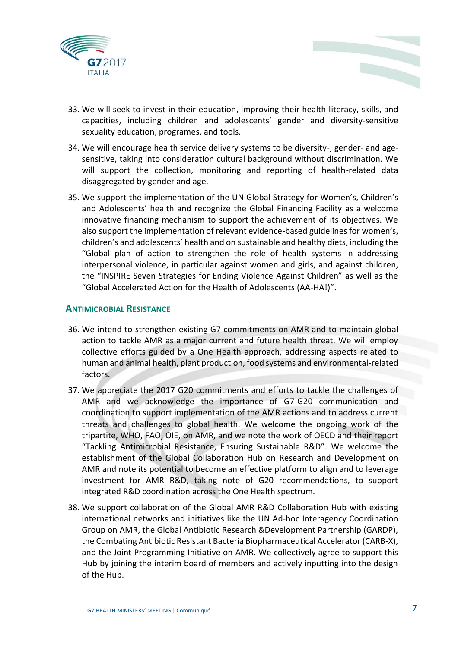



- 33. We will seek to invest in their education, improving their health literacy, skills, and capacities, including children and adolescents' gender and diversity-sensitive sexuality education, programes, and tools.
- 34. We will encourage health service delivery systems to be diversity-, gender- and agesensitive, taking into consideration cultural background without discrimination. We will support the collection, monitoring and reporting of health-related data disaggregated by gender and age.
- 35. We support the implementation of the UN Global Strategy for Women's, Children's and Adolescents' health and recognize the Global Financing Facility as a welcome innovative financing mechanism to support the achievement of its objectives. We also support the implementation of relevant evidence-based guidelines for women's, children's and adolescents' health and on sustainable and healthy diets, including the "Global plan of action to strengthen the role of health systems in addressing interpersonal violence, in particular against women and girls, and against children, the "INSPIRE Seven Strategies for Ending Violence Against Children" as well as the "Global Accelerated Action for the Health of Adolescents (AA-HA!)".

### **ANTIMICROBIAL RESISTANCE**

- 36. We intend to strengthen existing G7 commitments on AMR and to maintain global action to tackle AMR as a major current and future health threat. We will employ collective efforts guided by a One Health approach, addressing aspects related to human and animal health, plant production, food systems and environmental-related factors.
- 37. We appreciate the 2017 G20 commitments and efforts to tackle the challenges of AMR and we acknowledge the importance of G7-G20 communication and coordination to support implementation of the AMR actions and to address current threats and challenges to global health. We welcome the ongoing work of the tripartite, WHO, FAO, OIE, on AMR, and we note the work of OECD and their report "Tackling Antimicrobial Resistance, Ensuring Sustainable R&D". We welcome the establishment of the Global Collaboration Hub on Research and Development on AMR and note its potential to become an effective platform to align and to leverage investment for AMR R&D, taking note of G20 recommendations, to support integrated R&D coordination across the One Health spectrum.
- 38. We support collaboration of the Global AMR R&D Collaboration Hub with existing international networks and initiatives like the UN Ad-hoc Interagency Coordination Group on AMR, the Global Antibiotic Research &Development Partnership (GARDP), the Combating Antibiotic Resistant Bacteria Biopharmaceutical Accelerator (CARB-X), and the Joint Programming Initiative on AMR. We collectively agree to support this Hub by joining the interim board of members and actively inputting into the design of the Hub.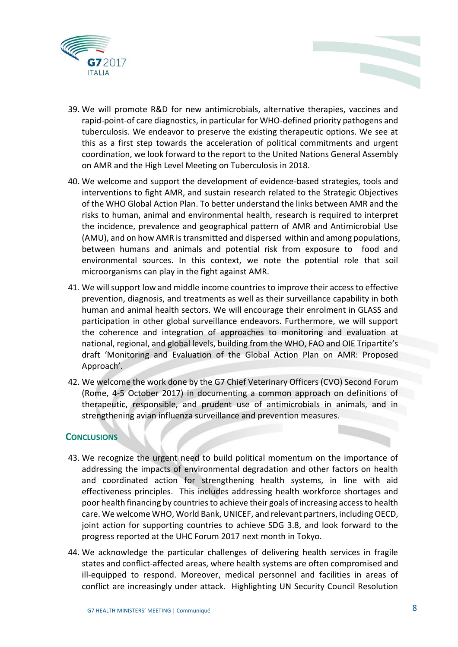

- 39. We will promote R&D for new antimicrobials, alternative therapies, vaccines and rapid-point-of care diagnostics, in particular for WHO-defined priority pathogens and tuberculosis. We endeavor to preserve the existing therapeutic options. We see at this as a first step towards the acceleration of political commitments and urgent coordination, we look forward to the report to the United Nations General Assembly on AMR and the High Level Meeting on Tuberculosis in 2018.
- 40. We welcome and support the development of evidence-based strategies, tools and interventions to fight AMR, and sustain research related to the Strategic Objectives of the WHO Global Action Plan. To better understand the links between AMR and the risks to human, animal and environmental health, research is required to interpret the incidence, prevalence and geographical pattern of AMR and Antimicrobial Use (AMU), and on how AMR is transmitted and dispersed within and among populations, between humans and animals and potential risk from exposure to food and environmental sources. In this context, we note the potential role that soil microorganisms can play in the fight against AMR.
- 41. We will support low and middle income countries to improve their access to effective prevention, diagnosis, and treatments as well as their surveillance capability in both human and animal health sectors. We will encourage their enrolment in GLASS and participation in other global surveillance endeavors. Furthermore, we will support the coherence and integration of approaches to monitoring and evaluation at national, regional, and global levels, building from the WHO, FAO and OIE Tripartite's draft 'Monitoring and Evaluation of the Global Action Plan on AMR: Proposed Approach'.
- 42. We welcome the work done by the G7 Chief Veterinary Officers (CVO) Second Forum (Rome, 4-5 October 2017) in documenting a common approach on definitions of therapeutic, responsible, and prudent use of antimicrobials in animals, and in strengthening avian influenza surveillance and prevention measures.

### **CONCLUSIONS**

- 43. We recognize the urgent need to build political momentum on the importance of addressing the impacts of environmental degradation and other factors on health and coordinated action for strengthening health systems, in line with aid effectiveness principles. This includes addressing health workforce shortages and poor health financing by countries to achieve their goals of increasing access to health care. We welcome WHO, World Bank, UNICEF, and relevant partners, including OECD, joint action for supporting countries to achieve SDG 3.8, and look forward to the progress reported at the UHC Forum 2017 next month in Tokyo.
- 44. We acknowledge the particular challenges of delivering health services in fragile states and conflict‐affected areas, where health systems are often compromised and ill-equipped to respond. Moreover, medical personnel and facilities in areas of conflict are increasingly under attack. Highlighting UN Security Council Resolution